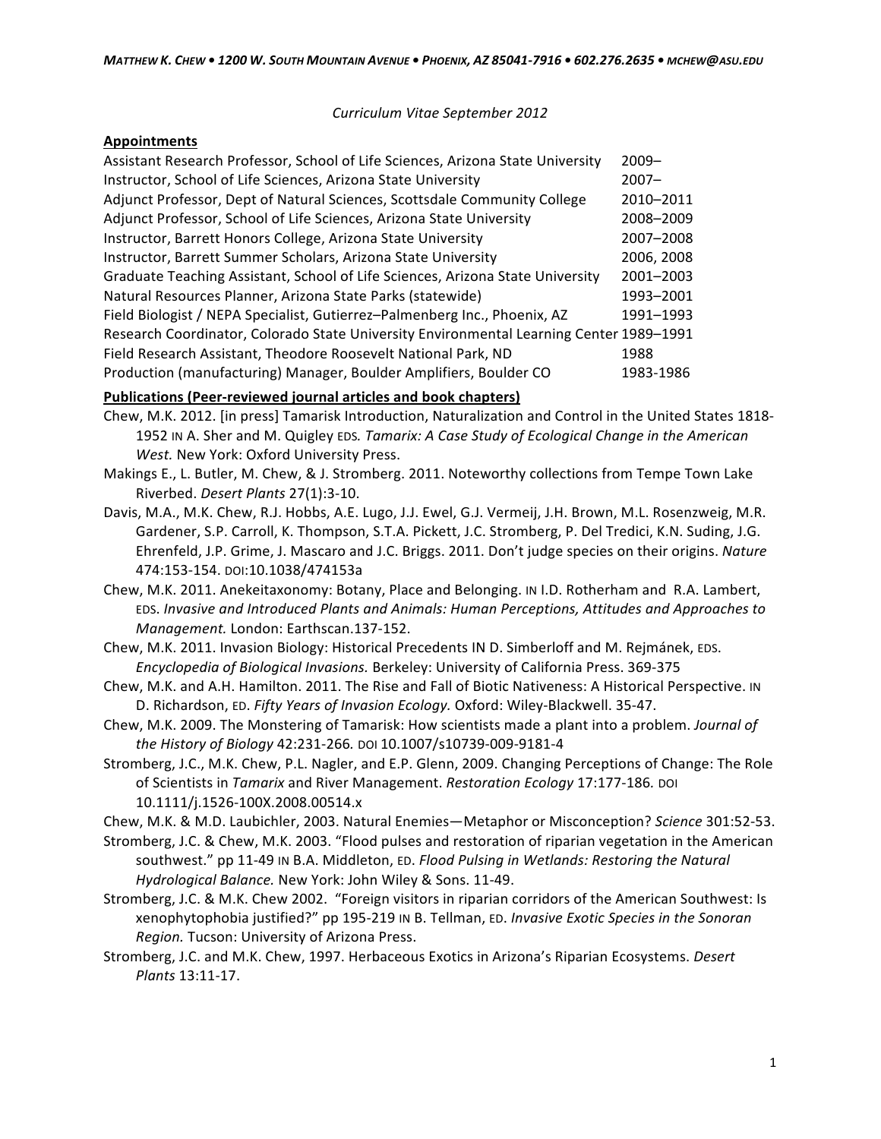*Curriculum(Vitae September(2012*

## **Appointments**

| Assistant Research Professor, School of Life Sciences, Arizona State University         | $2009 -$   |
|-----------------------------------------------------------------------------------------|------------|
| Instructor, School of Life Sciences, Arizona State University                           | $2007 -$   |
| Adjunct Professor, Dept of Natural Sciences, Scottsdale Community College               | 2010-2011  |
| Adjunct Professor, School of Life Sciences, Arizona State University                    | 2008-2009  |
| Instructor, Barrett Honors College, Arizona State University                            | 2007-2008  |
| Instructor, Barrett Summer Scholars, Arizona State University                           | 2006, 2008 |
| Graduate Teaching Assistant, School of Life Sciences, Arizona State University          | 2001-2003  |
| Natural Resources Planner, Arizona State Parks (statewide)                              | 1993-2001  |
| Field Biologist / NEPA Specialist, Gutierrez-Palmenberg Inc., Phoenix, AZ               | 1991-1993  |
| Research Coordinator, Colorado State University Environmental Learning Center 1989-1991 |            |
| Field Research Assistant, Theodore Roosevelt National Park, ND                          | 1988       |
| Production (manufacturing) Manager, Boulder Amplifiers, Boulder CO                      | 1983-1986  |

## **Publications (Peer-reviewed journal articles and book chapters)**

- Chew, M.K. 2012. [in press] Tamarisk Introduction, Naturalization and Control in the United States 1818-1952 IN A. Sher and M. Quigley EDS. Tamarix: A Case Study of Ecological Change in the American *West.* New York: Oxford University Press.
- Makings E., L. Butler, M. Chew, & J. Stromberg. 2011. Noteworthy collections from Tempe Town Lake Riverbed. Desert Plants 27(1):3-10.
- Davis, M.A., M.K. Chew, R.J. Hobbs, A.E. Lugo, J.J. Ewel, G.J. Vermeij, J.H. Brown, M.L. Rosenzweig, M.R. Gardener, S.P. Carroll, K. Thompson, S.T.A. Pickett, J.C. Stromberg, P. Del Tredici, K.N. Suding, J.G. Ehrenfeld, J.P. Grime, J. Mascaro and J.C. Briggs. 2011. Don't judge species on their origins. Nature 474:153-154. DOI:10.1038/474153a
- Chew, M.K. 2011. Anekeitaxonomy: Botany, Place and Belonging. IN I.D. Rotherham and R.A. Lambert, EDS. Invasive and Introduced Plants and Animals: Human Perceptions, Attitudes and Approaches to *Management.* London: Earthscan.137-152.
- Chew, M.K. 2011. Invasion Biology: Historical Precedents IN D. Simberloff and M. Rejmánek, EDS. Encyclopedia of Biological Invasions. Berkeley: University of California Press. 369-375
- Chew, M.K. and A.H. Hamilton. 2011. The Rise and Fall of Biotic Nativeness: A Historical Perspective. IN D. Richardson, ED. Fifty Years of Invasion Ecology. Oxford: Wiley-Blackwell. 35-47.
- Chew, M.K. 2009. The Monstering of Tamarisk: How scientists made a plant into a problem. *Journal of* the History of Biology 42:231-266. DOI 10.1007/s10739-009-9181-4
- Stromberg, J.C., M.K. Chew, P.L. Nagler, and E.P. Glenn, 2009. Changing Perceptions of Change: The Role of Scientists in *Tamarix* and River Management. Restoration Ecology 17:177-186. DOI 10.1111/j.1526\100X.2008.00514.x
- Chew, M.K. & M.D. Laubichler, 2003. Natural Enemies—Metaphor or Misconception? Science 301:52-53.
- Stromberg, J.C. & Chew, M.K. 2003. "Flood pulses and restoration of riparian vegetation in the American southwest." pp 11-49 IN B.A. Middleton, ED. *Flood Pulsing in Wetlands: Restoring the Natural Hydrological Balance. New York: John Wiley & Sons. 11-49.*
- Stromberg, J.C. & M.K. Chew 2002. "Foreign visitors in riparian corridors of the American Southwest: Is xenophytophobia justified?" pp 195-219 IN B. Tellman, ED. *Invasive Exotic Species in the Sonoran Region.* Tucson: University of Arizona Press.
- Stromberg, J.C. and M.K. Chew, 1997. Herbaceous Exotics in Arizona's Riparian Ecosystems. *Desert Plants* 13:11-17.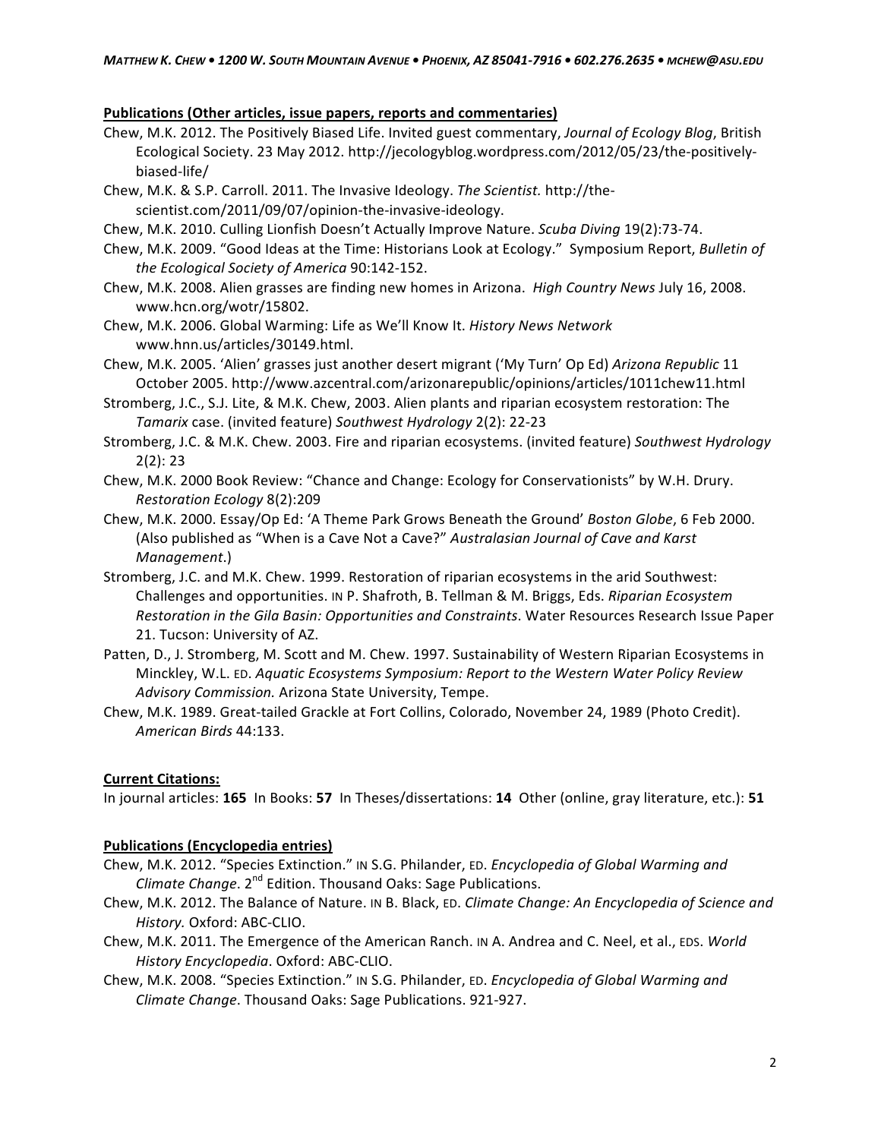## Publications (Other articles, issue papers, reports and commentaries)

- Chew, M.K. 2012. The Positively Biased Life. Invited guest commentary, Journal of Ecology Blog, British Ecological Society. 23 May 2012. http://jecologyblog.wordpress.com/2012/05/23/the-positivelybiased-life/
- Chew, M.K. & S.P. Carroll. 2011. The Invasive Ideology. The Scientist. http://thescientist.com/2011/09/07/opinion-the-invasive-ideology.
- Chew, M.K. 2010. Culling Lionfish Doesn't Actually Improve Nature. *Scuba Diving* 19(2):73-74.
- Chew, M.K. 2009. "Good Ideas at the Time: Historians Look at Ecology." Symposium Report, Bulletin of *the(Ecological(Society(of(America(*90:142\152.
- Chew, M.K. 2008. Alien grasses are finding new homes in Arizona. High Country News July 16, 2008. www.hcn.org/wotr/15802.
- Chew, M.K. 2006. Global Warming: Life as We'll Know It. History News Network www.hnn.us/articles/30149.html.
- Chew, M.K. 2005. 'Alien' grasses just another desert migrant ('My Turn' Op Ed) Arizona Republic 11 October 2005. http://www.azcentral.com/arizonarepublic/opinions/articles/1011chew11.html
- Stromberg, J.C., S.J. Lite, & M.K. Chew, 2003. Alien plants and riparian ecosystem restoration: The *Tamarix* case. (invited feature) Southwest Hydrology 2(2): 22-23
- Stromberg, J.C. & M.K. Chew. 2003. Fire and riparian ecosystems. (invited feature) Southwest Hydrology  $2(2):23$
- Chew, M.K. 2000 Book Review: "Chance and Change: Ecology for Conservationists" by W.H. Drury. *Restoration(Ecology(*8(2):209
- Chew, M.K. 2000. Essay/Op Ed: 'A Theme Park Grows Beneath the Ground' Boston Globe, 6 Feb 2000. (Also published as "When is a Cave Not a Cave?" Australasian Journal of Cave and Karst *Management.*)
- Stromberg, J.C. and M.K. Chew. 1999. Restoration of riparian ecosystems in the arid Southwest: Challenges and opportunities. IN P. Shafroth, B. Tellman & M. Briggs, Eds. Riparian Ecosystem *Restoration in the Gila Basin: Opportunities and Constraints*. Water Resources Research Issue Paper 21. Tucson: University of AZ.
- Patten, D., J. Stromberg, M. Scott and M. Chew. 1997. Sustainability of Western Riparian Ecosystems in Minckley, W.L. ED. *Aquatic Ecosystems Symposium: Report to the Western Water Policy Review* Advisory Commission. Arizona State University, Tempe.
- Chew, M.K. 1989. Great-tailed Grackle at Fort Collins, Colorado, November 24, 1989 (Photo Credit). *American(Birds(*44:133.(

## **Current Citations:**

In journal articles: 165 In Books: 57 In Theses/dissertations: 14 Other (online, gray literature, etc.): 51

## **Publications (Encyclopedia entries)**

- Chew, M.K. 2012. "Species Extinction." IN S.G. Philander, ED. *Encyclopedia of Global Warming and Climate Change.* 2<sup>nd</sup> Edition. Thousand Oaks: Sage Publications.
- Chew, M.K. 2012. The Balance of Nature. IN B. Black, ED. *Climate Change: An Encyclopedia of Science and History.* Oxford: ABC-CLIO.
- Chew, M.K. 2011. The Emergence of the American Ranch. IN A. Andrea and C. Neel, et al., EDS. World *History Encyclopedia. Oxford: ABC-CLIO.*
- Chew, M.K. 2008. "Species Extinction." IN S.G. Philander, ED. *Encyclopedia of Global Warming and Climate Change*. Thousand Oaks: Sage Publications. 921-927.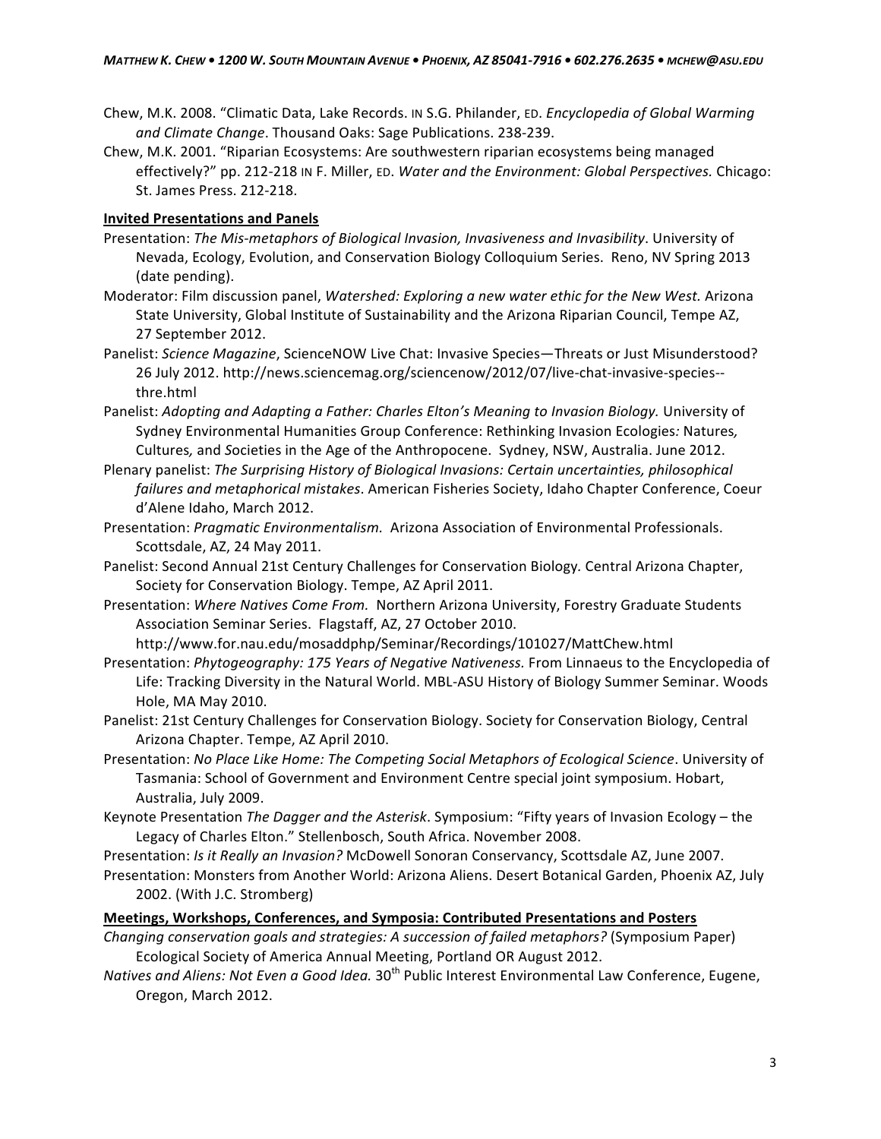- Chew, M.K. 2008. "Climatic Data, Lake Records. IN S.G. Philander, ED. *Encyclopedia of Global Warming* and Climate Change. Thousand Oaks: Sage Publications. 238-239.
- Chew, M.K. 2001. "Riparian Ecosystems: Are southwestern riparian ecosystems being managed effectively?" pp. 212-218 IN F. Miller, ED. Water and the Environment: Global Perspectives. Chicago: St. James Press. 212-218.

## **Invited Presentations and Panels**

- Presentation: The Mis-metaphors of Biological Invasion, Invasiveness and Invasibility. University of Nevada, Ecology, Evolution, and Conservation Biology Colloquium Series. Reno, NV Spring 2013 (date pending).
- Moderator: Film discussion panel, *Watershed: Exploring a new water ethic for the New West.* Arizona State University, Global Institute of Sustainability and the Arizona Riparian Council, Tempe AZ, 27 September 2012.
- Panelist: Science Magazine, ScienceNOW Live Chat: Invasive Species—Threats or Just Misunderstood? 26 July 2012. http://news.sciencemag.org/sciencenow/2012/07/live-chat-invasive-species-thre.html
- Panelist: Adopting and Adapting a Father: Charles Elton's Meaning to Invasion Biology. University of Sydney Environmental Humanities Group Conference: Rethinking Invasion Ecologies: Natures, Cultures, and Societies in the Age of the Anthropocene. Sydney, NSW, Australia. June 2012.
- Plenary panelist: The Surprising History of Biological Invasions: Certain uncertainties, philosophical failures and metaphorical mistakes. American Fisheries Society, Idaho Chapter Conference, Coeur d'Alene Idaho, March 2012.
- Presentation: *Pragmatic Environmentalism.* Arizona Association of Environmental Professionals. Scottsdale, AZ, 24 May 2011.
- Panelist: Second Annual 21st Century Challenges for Conservation Biology. Central Arizona Chapter, Society for Conservation Biology. Tempe, AZ April 2011.
- Presentation: Where Natives Come From. Northern Arizona University, Forestry Graduate Students Association Seminar Series. Flagstaff, AZ, 27 October 2010.

http://www.for.nau.edu/mosaddphp/Seminar/Recordings/101027/MattChew.html

- Presentation: Phytogeography: 175 Years of Negative Nativeness. From Linnaeus to the Encyclopedia of Life: Tracking Diversity in the Natural World. MBL-ASU History of Biology Summer Seminar. Woods Hole, MA May 2010.
- Panelist: 21st Century Challenges for Conservation Biology. Society for Conservation Biology, Central Arizona Chapter. Tempe, AZ April 2010.
- Presentation: No Place Like Home: The Competing Social Metaphors of Ecological Science. University of Tasmania: School of Government and Environment Centre special joint symposium. Hobart, Australia, July 2009.
- Keynote Presentation The Dagger and the Asterisk. Symposium: "Fifty years of Invasion Ecology the Legacy of Charles Elton." Stellenbosch, South Africa. November 2008.
- Presentation: *Is it Really an Invasion?* McDowell Sonoran Conservancy, Scottsdale AZ, June 2007.
- Presentation: Monsters from Another World: Arizona Aliens. Desert Botanical Garden, Phoenix AZ, July 2002. (With J.C. Stromberg)

## **Meetings, Workshops, Conferences, and Symposia: Contributed Presentations and Posters**

- *Changing conservation goals and strategies: A succession of failed metaphors?* (Symposium Paper) Ecological Society of America Annual Meeting, Portland OR August 2012.
- *Natives and Aliens: Not Even a Good Idea.* 30<sup>th</sup> Public Interest Environmental Law Conference, Eugene, Oregon, March 2012.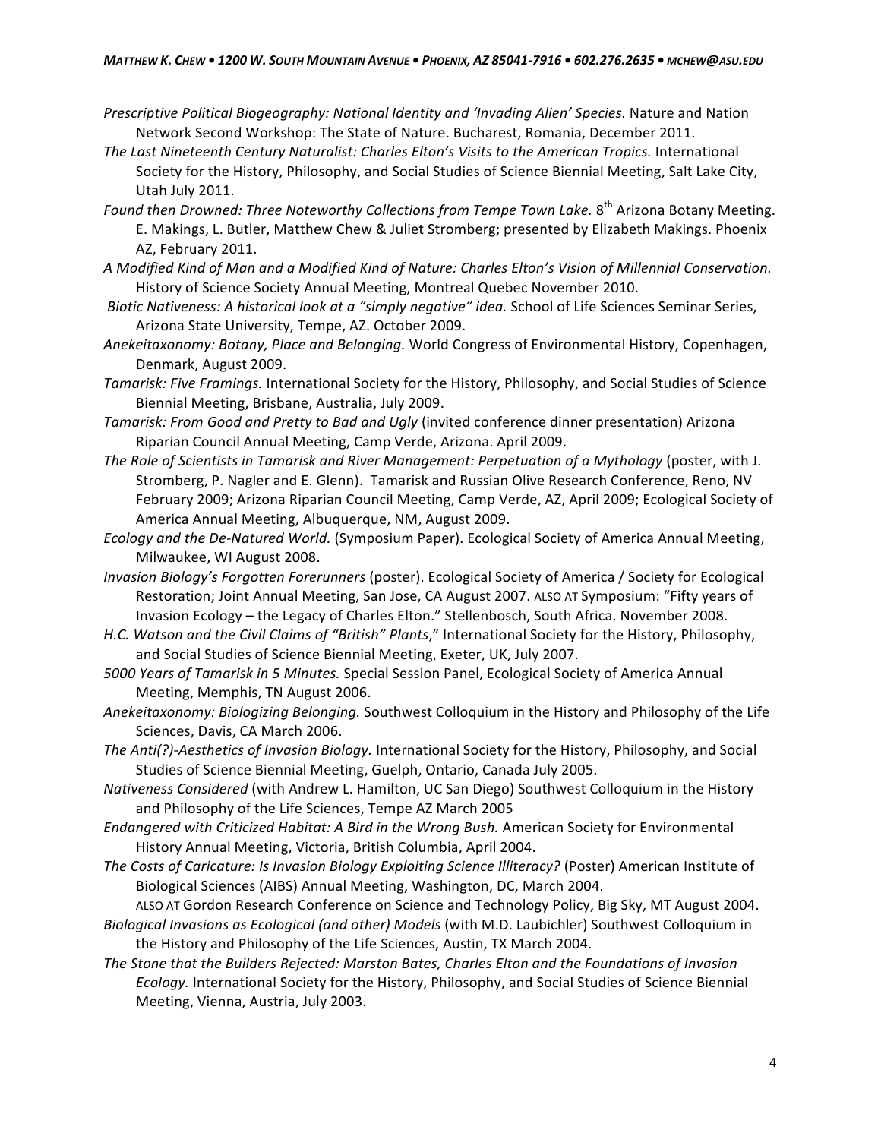- *Prescriptive Political Biogeography: National Identity and 'Invading Alien' Species. Nature and Nation* Network Second Workshop: The State of Nature. Bucharest, Romania, December 2011.
- The Last Nineteenth Century Naturalist: Charles Elton's Visits to the American Tropics. International Society for the History, Philosophy, and Social Studies of Science Biennial Meeting, Salt Lake City, Utah July 2011.
- *Found then Drowned: Three Noteworthy Collections from Tempe Town Lake.* 8<sup>th</sup> Arizona Botany Meeting. E. Makings, L. Butler, Matthew Chew & Juliet Stromberg; presented by Elizabeth Makings. Phoenix AZ, February 2011.
- A Modified Kind of Man and a Modified Kind of Nature: Charles Elton's Vision of Millennial Conservation. History of Science Society Annual Meeting, Montreal Quebec November 2010.
- *Biotic Nativeness: A historical look at a "simply negative" idea. School of Life Sciences Seminar Series,* Arizona State University, Tempe, AZ. October 2009.
- Anekeitaxonomy: Botany, Place and Belonging. World Congress of Environmental History, Copenhagen, Denmark, August 2009.
- *Tamarisk: Five Framings.* International Society for the History, Philosophy, and Social Studies of Science Biennial Meeting, Brisbane, Australia, July 2009.
- *Tamarisk: From Good and Pretty to Bad and Ugly (invited conference dinner presentation) Arizona* Riparian Council Annual Meeting, Camp Verde, Arizona. April 2009.
- *The Role of Scientists in Tamarisk and River Management: Perpetuation of a Mythology (poster, with J.*) Stromberg, P. Nagler and E. Glenn). Tamarisk and Russian Olive Research Conference, Reno, NV February 2009; Arizona Riparian Council Meeting, Camp Verde, AZ, April 2009; Ecological Society of America Annual Meeting, Albuquerque, NM, August 2009.
- *Ecology and the De-Natured World.* (Symposium Paper). Ecological Society of America Annual Meeting, Milwaukee, WI August 2008.
- *Invasion Biology's Forgotten Forerunners (poster).* Ecological Society of America / Society for Ecological Restoration; Joint Annual Meeting, San Jose, CA August 2007. ALSO AT Symposium: "Fifty years of Invasion Ecology - the Legacy of Charles Elton." Stellenbosch, South Africa. November 2008.
- *H.C. Watson and the Civil Claims of "British" Plants*," International Society for the History, Philosophy, and Social Studies of Science Biennial Meeting, Exeter, UK, July 2007.
- *5000 Years of Tamarisk in 5 Minutes.* Special Session Panel, Ecological Society of America Annual Meeting, Memphis, TN August 2006.
- Anekeitaxonomy: Biologizing Belonging. Southwest Colloquium in the History and Philosophy of the Life Sciences, Davis, CA March 2006.
- *The Anti(?)-Aesthetics of Invasion Biology.* International Society for the History, Philosophy, and Social Studies of Science Biennial Meeting, Guelph, Ontario, Canada July 2005.
- *Nativeness Considered* (with Andrew L. Hamilton, UC San Diego) Southwest Colloquium in the History and Philosophy of the Life Sciences, Tempe AZ March 2005
- *Endangered with Criticized Habitat: A Bird in the Wrong Bush. American Society for Environmental* History Annual Meeting, Victoria, British Columbia, April 2004.
- *The Costs of Caricature: Is Invasion Biology Exploiting Science Illiteracy? (Poster) American Institute of* Biological Sciences (AIBS) Annual Meeting, Washington, DC, March 2004.

ALSO AT Gordon Research Conference on Science and Technology Policy, Big Sky, MT August 2004. Biological Invasions as Ecological (and other) Models (with M.D. Laubichler) Southwest Colloquium in the History and Philosophy of the Life Sciences, Austin, TX March 2004.

The Stone that the Builders Rejected: Marston Bates, Charles Elton and the Foundations of Invasion Ecology. International Society for the History, Philosophy, and Social Studies of Science Biennial Meeting, Vienna, Austria, July 2003.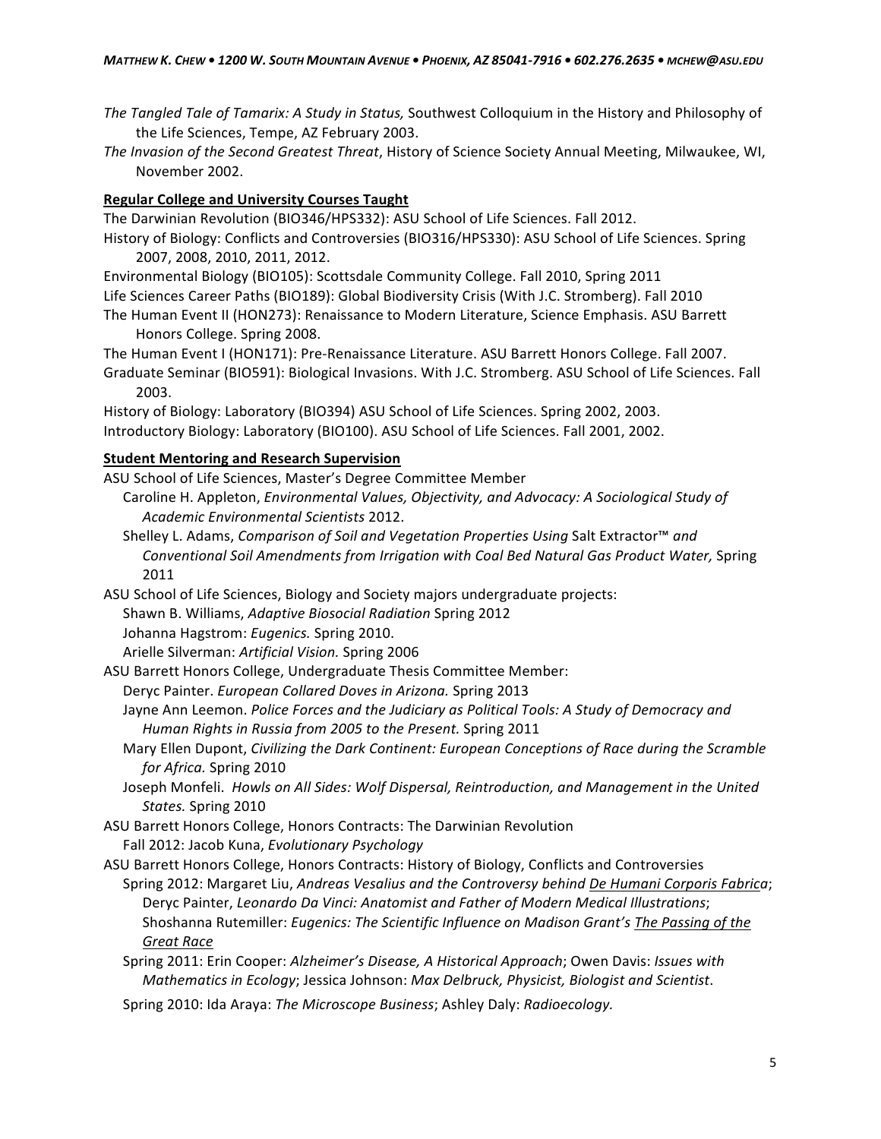- *The Tangled Tale of Tamarix: A Study in Status, Southwest Colloquium in the History and Philosophy of* the Life Sciences, Tempe, AZ February 2003.
- *The Invasion of the Second Greatest Threat, History of Science Society Annual Meeting, Milwaukee, WI,* November 2002.

## **Regular\*College\*and\*University\*Courses\*Taught\***

The Darwinian Revolution (BIO346/HPS332): ASU School of Life Sciences. Fall 2012.

- History of Biology: Conflicts and Controversies (BIO316/HPS330): ASU School of Life Sciences. Spring 2007, 2008, 2010, 2011, 2012.
- Environmental Biology (BIO105): Scottsdale Community College. Fall 2010, Spring 2011 Life Sciences Career Paths (BIO189): Global Biodiversity Crisis (With J.C. Stromberg). Fall 2010
- The Human Event II (HON273): Renaissance to Modern Literature, Science Emphasis. ASU Barrett Honors College. Spring 2008.
- The Human Event I (HON171): Pre-Renaissance Literature. ASU Barrett Honors College. Fall 2007.
- Graduate Seminar (BIO591): Biological Invasions. With J.C. Stromberg. ASU School of Life Sciences. Fall 2003.

History of Biology: Laboratory (BIO394) ASU School of Life Sciences. Spring 2002, 2003. Introductory Biology: Laboratory (BIO100). ASU School of Life Sciences. Fall 2001, 2002.

# **Student Mentoring and Research Supervision**

ASU School of Life Sciences, Master's Degree Committee Member

- Caroline H. Appleton, *Environmental Values, Objectivity, and Advocacy: A Sociological Study of Academic(Environmental(Scientists*(2012.
- Shelley L. Adams, *Comparison of Soil and Vegetation Properties Using Salt Extractor™ and* Conventional Soil Amendments from Irrigation with Coal Bed Natural Gas Product Water, Spring 2011

ASU School of Life Sciences, Biology and Society majors undergraduate projects: Shawn B. Williams, *Adaptive Biosocial Radiation Spring 2012* 

Johanna Hagstrom: *Eugenics*. Spring 2010.

Arielle Silverman: Artificial Vision. Spring 2006

- ASU Barrett Honors College, Undergraduate Thesis Committee Member:
	- Deryc Painter. *European Collared Doves in Arizona*. Spring 2013
	- Jayne Ann Leemon. Police Forces and the Judiciary as Political Tools: A Study of Democracy and *Human Rights in Russia from 2005 to the Present. Spring 2011*
	- Mary Ellen Dupont, *Civilizing the Dark Continent: European Conceptions of Race during the Scramble for Africa.* Spring 2010
	- Joseph Monfeli. Howls on All Sides: Wolf Dispersal, Reintroduction, and Management in the United States. Spring 2010
- ASU Barrett Honors College, Honors Contracts: The Darwinian Revolution Fall 2012: Jacob Kuna, *Evolutionary Psychology*

ASU Barrett Honors College, Honors Contracts: History of Biology, Conflicts and Controversies Spring 2012: Margaret Liu, *Andreas Vesalius and the Controversy behind De Humani Corporis Fabrica*; Deryc Painter, Leonardo Da Vinci: Anatomist and Father of Modern Medical Illustrations; Shoshanna Rutemiller: *Eugenics: The Scientific Influence on Madison Grant's The Passing of the* **Great Race** 

Spring 2011: Erin Cooper: Alzheimer's Disease, A Historical Approach; Owen Davis: Issues with *Mathematics in Ecology; Jessica Johnson: Max Delbruck, Physicist, Biologist and Scientist.* 

Spring 2010: Ida Araya: The Microscope Business; Ashley Daly: Radioecology.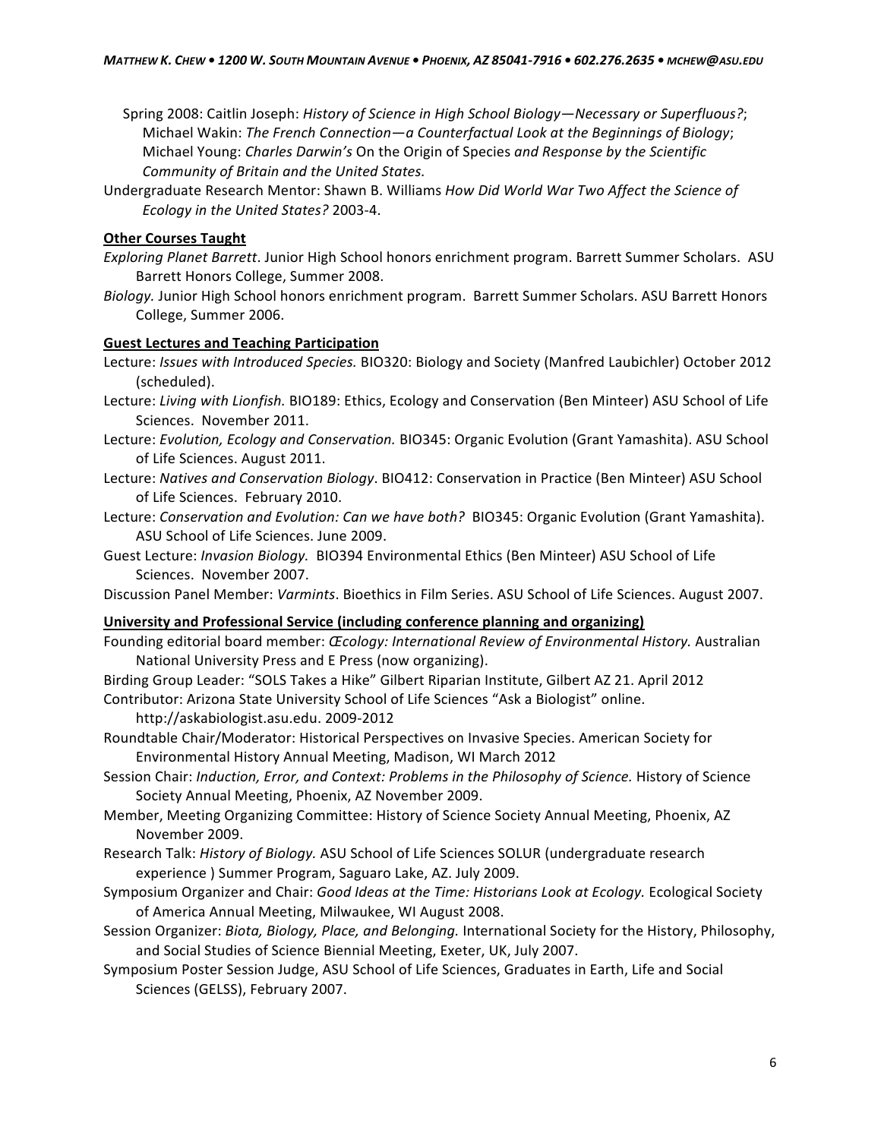- Spring(2008: Caitlin Joseph: *History of Science in High School Biology—Necessary or Superfluous?*; Michael Wakin: The French Connection—a Counterfactual Look at the Beginnings of Biology; Michael Young: *Charles Darwin's* On the Origin of Species and Response by the Scientific *Community of Britain and the United States.*
- Undergraduate Research Mentor: Shawn B. Williams How Did World War Two Affect the Science of *Ecology in the United States?* 2003-4.

## **Other Courses Taught**

- *Exploring Planet Barrett.* Junior High School honors enrichment program. Barrett Summer Scholars. ASU Barrett Honors College, Summer 2008.
- Biology. Junior High School honors enrichment program. Barrett Summer Scholars. ASU Barrett Honors College, Summer 2006.

#### **Guest Lectures and Teaching Participation**

- Lecture: *Issues with Introduced Species.* BIO320: Biology and Society (Manfred Laubichler) October 2012 (scheduled).
- Lecture: Living with Lionfish. BIO189: Ethics, Ecology and Conservation (Ben Minteer) ASU School of Life Sciences. November 2011.
- Lecture: *Evolution, Ecology and Conservation.* BIO345: Organic Evolution (Grant Yamashita). ASU School of Life Sciences. August 2011.
- Lecture: Natives and Conservation Biology. BIO412: Conservation in Practice (Ben Minteer) ASU School of Life Sciences. February 2010.
- Lecture: Conservation and Evolution: Can we have both? BIO345: Organic Evolution (Grant Yamashita). ASU School of Life Sciences. June 2009.
- Guest Lecture: *Invasion Biology.* BIO394 Environmental Ethics (Ben Minteer) ASU School of Life Sciences. November 2007.

Discussion Panel Member: *Varmints*. Bioethics in Film Series. ASU School of Life Sciences. August 2007.

## University and Professional Service (including conference planning and organizing)

- Founding editorial board member: *Œcology: International Review of Environmental History.* Australian National University Press and E Press (now organizing).
- Birding Group Leader: "SOLS Takes a Hike" Gilbert Riparian Institute, Gilbert AZ 21. April 2012

Contributor: Arizona State University School of Life Sciences "Ask a Biologist" online.

http://askabiologist.asu.edu. 2009-2012

- Roundtable Chair/Moderator: Historical Perspectives on Invasive Species. American Society for Environmental History Annual Meeting, Madison, WI March 2012
- Session Chair: *Induction, Error, and Context: Problems in the Philosophy of Science.* History of Science Society Annual Meeting, Phoenix, AZ November 2009.
- Member, Meeting Organizing Committee: History of Science Society Annual Meeting, Phoenix, AZ November 2009.
- Research Talk: *History of Biology.* ASU School of Life Sciences SOLUR (undergraduate research experience) Summer Program, Saguaro Lake, AZ. July 2009.
- Symposium Organizer and Chair: Good Ideas at the Time: Historians Look at Ecology. Ecological Society of America Annual Meeting, Milwaukee, WI August 2008.
- Session Organizer: *Biota, Biology, Place, and Belonging*. International Society for the History, Philosophy, and Social Studies of Science Biennial Meeting, Exeter, UK, July 2007.
- Symposium Poster Session Judge, ASU School of Life Sciences, Graduates in Earth, Life and Social Sciences (GELSS), February 2007.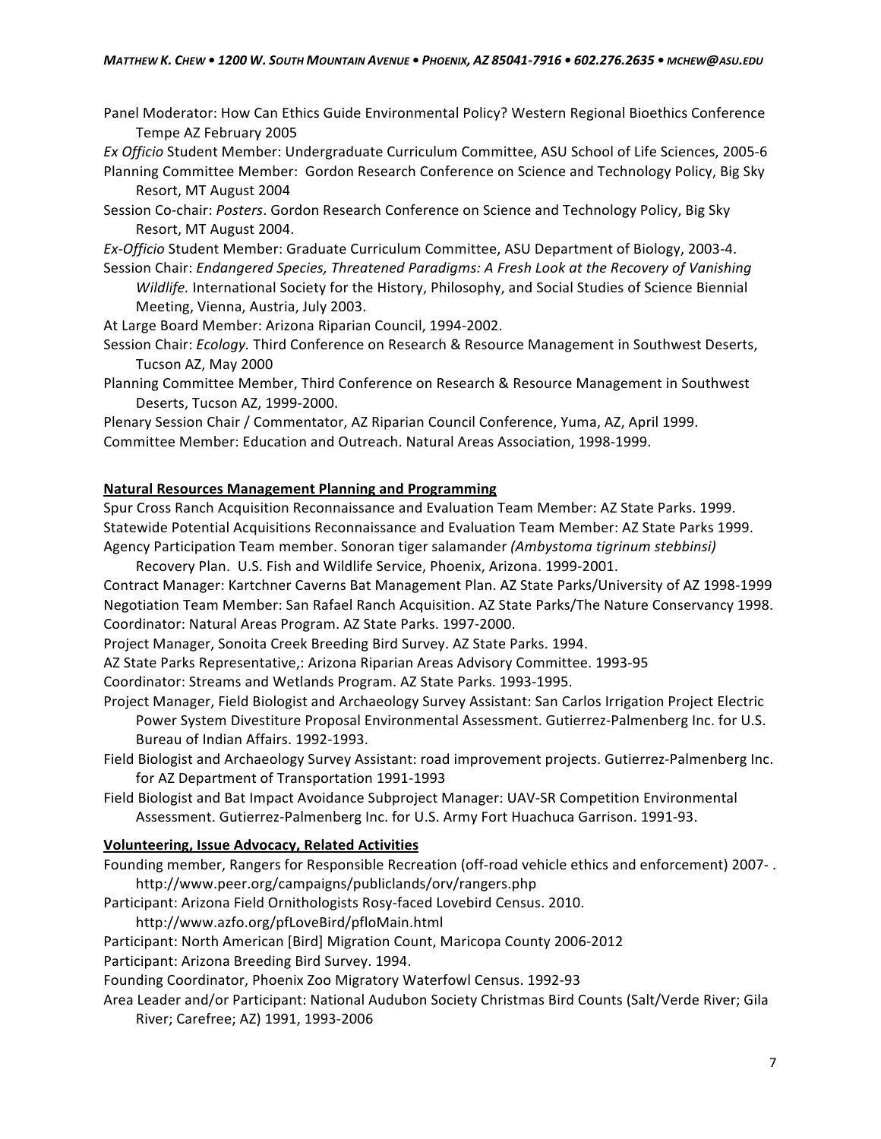Panel Moderator: How Can Ethics Guide Environmental Policy? Western Regional Bioethics Conference Tempe AZ February 2005

*Ex Officio* Student Member: Undergraduate Curriculum Committee, ASU School of Life Sciences, 2005-6 Planning Committee Member: Gordon Research Conference on Science and Technology Policy, Big Sky Resort, MT August 2004

Session Co-chair: Posters. Gordon Research Conference on Science and Technology Policy, Big Sky Resort, MT August 2004.

*Ex-Officio* Student Member: Graduate Curriculum Committee, ASU Department of Biology, 2003-4.

Session Chair: *Endangered Species, Threatened Paradigms: A Fresh Look at the Recovery of Vanishing Wildlife.* International Society for the History, Philosophy, and Social Studies of Science Biennial Meeting, Vienna, Austria, July 2003.

At Large Board Member: Arizona Riparian Council, 1994-2002.

Session Chair: *Ecology.* Third Conference on Research & Resource Management in Southwest Deserts, Tucson AZ, May 2000

Planning Committee Member, Third Conference on Research & Resource Management in Southwest Deserts, Tucson AZ, 1999-2000.

Plenary Session Chair / Commentator, AZ Riparian Council Conference, Yuma, AZ, April 1999. Committee Member: Education and Outreach. Natural Areas Association, 1998-1999.

#### Natural Resources Management Planning and Programming

Spur Cross Ranch Acquisition Reconnaissance and Evaluation Team Member: AZ State Parks. 1999. Statewide Potential Acquisitions Reconnaissance and Evaluation Team Member: AZ State Parks 1999. Agency Participation Team member. Sonoran tiger salamander (Ambystoma tigrinum stebbinsi)

Recovery Plan. U.S. Fish and Wildlife Service, Phoenix, Arizona. 1999-2001.

Contract Manager: Kartchner Caverns Bat Management Plan. AZ State Parks/University of AZ 1998-1999 Negotiation Team Member: San Rafael Ranch Acquisition. AZ State Parks/The Nature Conservancy 1998. Coordinator: Natural Areas Program. AZ State Parks. 1997-2000.

Project Manager, Sonoita Creek Breeding Bird Survey. AZ State Parks. 1994.

AZ State Parks Representative,: Arizona Riparian Areas Advisory Committee. 1993-95

Coordinator: Streams and Wetlands Program. AZ State Parks. 1993-1995.

Project Manager, Field Biologist and Archaeology Survey Assistant: San Carlos Irrigation Project Electric Power System Divestiture Proposal Environmental Assessment. Gutierrez-Palmenberg Inc. for U.S. Bureau of Indian Affairs. 1992-1993.

Field Biologist and Archaeology Survey Assistant: road improvement projects. Gutierrez-Palmenberg Inc. for AZ Department of Transportation 1991-1993

Field Biologist and Bat Impact Avoidance Subproject Manager: UAV-SR Competition Environmental Assessment. Gutierrez-Palmenberg Inc. for U.S. Army Fort Huachuca Garrison. 1991-93.

## **Volunteering, Issue Advocacy, Related Activities**

Founding member, Rangers for Responsible Recreation (off-road vehicle ethics and enforcement) 2007-. http://www.peer.org/campaigns/publiclands/orv/rangers.php

Participant: Arizona Field Ornithologists Rosy-faced Lovebird Census. 2010.

http://www.azfo.org/pfLoveBird/pfloMain.html

Participant: North American [Bird] Migration Count, Maricopa County 2006-2012

Participant: Arizona Breeding Bird Survey. 1994.

Founding Coordinator, Phoenix Zoo Migratory Waterfowl Census. 1992-93

Area Leader and/or Participant: National Audubon Society Christmas Bird Counts (Salt/Verde River; Gila River; Carefree; AZ) 1991, 1993-2006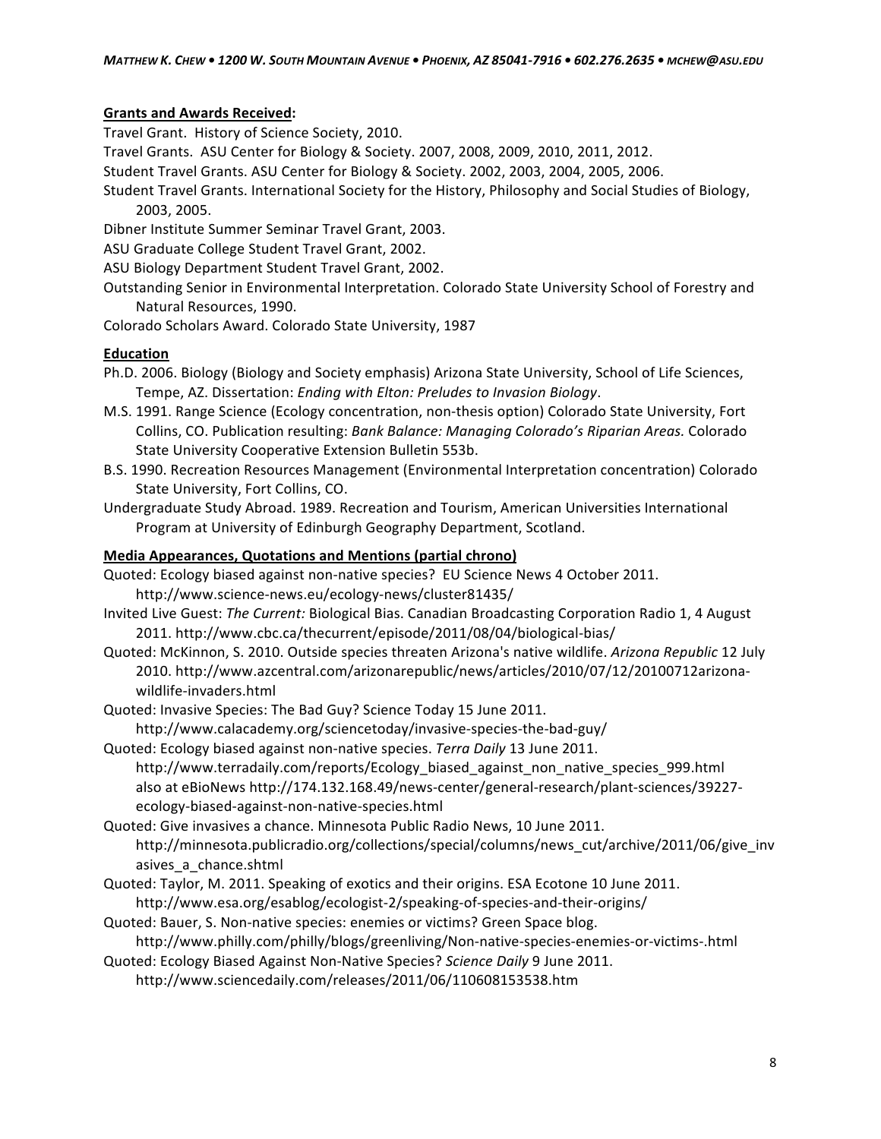## **Grants and Awards Received:**

Travel Grant. History of Science Society, 2010.

Travel Grants. ASU Center for Biology & Society. 2007, 2008, 2009, 2010, 2011, 2012.

Student Travel Grants. ASU Center for Biology & Society. 2002, 2003, 2004, 2005, 2006.

Student Travel Grants. International Society for the History, Philosophy and Social Studies of Biology, 2003, 2005.

Dibner Institute Summer Seminar Travel Grant, 2003.

ASU Graduate College Student Travel Grant, 2002.

ASU Biology Department Student Travel Grant, 2002.

Outstanding Senior in Environmental Interpretation. Colorado State University School of Forestry and Natural Resources, 1990.

Colorado Scholars Award. Colorado State University, 1987

## **Education**

- Ph.D. 2006. Biology (Biology and Society emphasis) Arizona State University, School of Life Sciences, Tempe, AZ. Dissertation: *Ending with Elton: Preludes to Invasion Biology*.
- M.S. 1991. Range Science (Ecology concentration, non-thesis option) Colorado State University, Fort Collins, CO. Publication resulting: *Bank Balance: Managing Colorado's Riparian Areas.* Colorado State University Cooperative Extension Bulletin 553b.
- B.S. 1990. Recreation Resources Management (Environmental Interpretation concentration) Colorado State University, Fort Collins, CO.
- Undergraduate Study Abroad. 1989. Recreation and Tourism, American Universities International Program at University of Edinburgh Geography Department, Scotland.

## **Media Appearances, Quotations and Mentions (partial chrono)**

Quoted: Ecology biased against non-native species? EU Science News 4 October 2011. http://www.science-news.eu/ecology-news/cluster81435/

- Invited Live Guest: The Current: Biological Bias. Canadian Broadcasting Corporation Radio 1, 4 August 2011. http://www.cbc.ca/thecurrent/episode/2011/08/04/biological-bias/
- Quoted: McKinnon, S. 2010. Outside species threaten Arizona's native wildlife. Arizona Republic 12 July 2010. http://www.azcentral.com/arizonarepublic/news/articles/2010/07/12/20100712arizonawildlife-invaders.html

Quoted: Invasive Species: The Bad Guy? Science Today 15 June 2011.

http://www.calacademy.org/sciencetoday/invasive-species-the-bad-guy/

Quoted: Ecology biased against non-native species. Terra Daily 13 June 2011. http://www.terradaily.com/reports/Ecology\_biased\_against\_non\_native\_species\_999.html also at eBioNews http://174.132.168.49/news-center/general-research/plant-sciences/39227ecology-biased-against-non-native-species.html

Quoted: Give invasives a chance. Minnesota Public Radio News, 10 June 2011. http://minnesota.publicradio.org/collections/special/columns/news\_cut/archive/2011/06/give\_inv asives\_a\_chance.shtml

Quoted: Taylor, M. 2011. Speaking of exotics and their origins. ESA Ecotone 10 June 2011.

http://www.esa.org/esablog/ecologist-2/speaking-of-species-and-their-origins/

Quoted: Bauer, S. Non-native species: enemies or victims? Green Space blog. http://www.philly.com/philly/blogs/greenliving/Non-native-species-enemies-or-victims-.html

Quoted: Ecology Biased Against Non-Native Species? Science Daily 9 June 2011.

http://www.sciencedaily.com/releases/2011/06/110608153538.htm